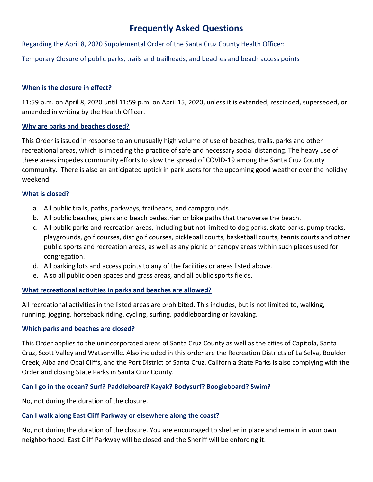# **Frequently Asked Questions**

Regarding the April 8, 2020 Supplemental Order of the Santa Cruz County Health Officer:

Temporary Closure of public parks, trails and trailheads, and beaches and beach access points

## **When is the closure in effect?**

11:59 p.m. on April 8, 2020 until 11:59 p.m. on April 15, 2020, unless it is extended, rescinded, superseded, or amended in writing by the Health Officer.

## **Why are parks and beaches closed?**

This Order is issued in response to an unusually high volume of use of beaches, trails, parks and other recreational areas, which is impeding the practice of safe and necessary social distancing. The heavy use of these areas impedes community efforts to slow the spread of COVID-19 among the Santa Cruz County community. There is also an anticipated uptick in park users for the upcoming good weather over the holiday weekend.

# **What is closed?**

- a. All public trails, paths, parkways, trailheads, and campgrounds.
- b. All public beaches, piers and beach pedestrian or bike paths that transverse the beach.
- c. All public parks and recreation areas, including but not limited to dog parks, skate parks, pump tracks, playgrounds, golf courses, disc golf courses, pickleball courts, basketball courts, tennis courts and other public sports and recreation areas, as well as any picnic or canopy areas within such places used for congregation.
- d. All parking lots and access points to any of the facilities or areas listed above.
- e. Also all public open spaces and grass areas, and all public sports fields.

# **What recreational activities in parks and beaches are allowed?**

All recreational activities in the listed areas are prohibited. This includes, but is not limited to, walking, running, jogging, horseback riding, cycling, surfing, paddleboarding or kayaking.

# **Which parks and beaches are closed?**

This Order applies to the unincorporated areas of Santa Cruz County as well as the cities of Capitola, Santa Cruz, Scott Valley and Watsonville. Also included in this order are the Recreation Districts of La Selva, Boulder Creek, Alba and Opal Cliffs, and the Port District of Santa Cruz. California State Parks is also complying with the Order and closing State Parks in Santa Cruz County.

# **Can I go in the ocean? Surf? Paddleboard? Kayak? Bodysurf? Boogieboard? Swim?**

No, not during the duration of the closure.

# **Can I walk along East Cliff Parkway or elsewhere along the coast?**

No, not during the duration of the closure. You are encouraged to shelter in place and remain in your own neighborhood. East Cliff Parkway will be closed and the Sheriff will be enforcing it.